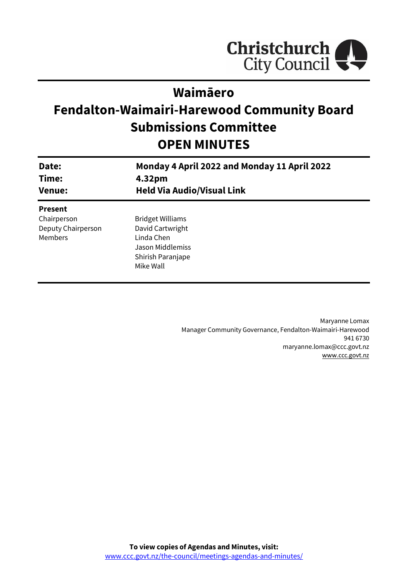

# **Waimāero**

# **Fendalton-Waimairi-Harewood Community Board Submissions Committee OPEN MINUTES**

| Date:<br>Time:<br><b>Venue:</b> | Monday 4 April 2022 and Monday 11 April 2022<br>4.32pm<br><b>Held Via Audio/Visual Link</b> |
|---------------------------------|---------------------------------------------------------------------------------------------|
| <b>Present</b>                  |                                                                                             |
| Chairperson                     | <b>Bridget Williams</b>                                                                     |
| Deputy Chairperson              | David Cartwright                                                                            |
| Members                         | Linda Chen                                                                                  |
|                                 | Jason Middlemiss                                                                            |
|                                 | Shirish Paranjape                                                                           |
|                                 | Mike Wall                                                                                   |
|                                 |                                                                                             |

Maryanne Lomax Manager Community Governance, Fendalton-Waimairi-Harewood 941 6730 maryanne.lomax@ccc.govt.nz [www.ccc.govt.nz](http://www.ccc.govt.nz/)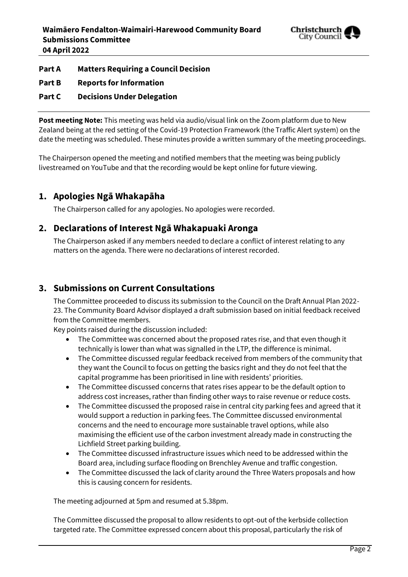

## **Part A Matters Requiring a Council Decision**

**Part B Reports for Information**

### **Part C Decisions Under Delegation**

**Post meeting Note:** This meeting was held via audio/visual link on the Zoom platform due to New Zealand being at the red setting of the Covid-19 Protection Framework (the Traffic Alert system) on the date the meeting was scheduled. These minutes provide a written summary of the meeting proceedings.

The Chairperson opened the meeting and notified members that the meeting was being publicly livestreamed on YouTube and that the recording would be kept online for future viewing.

# **1. Apologies Ngā Whakapāha**

The Chairperson called for any apologies. No apologies were recorded.

# **2. Declarations of Interest Ngā Whakapuaki Aronga**

The Chairperson asked if any members needed to declare a conflict of interest relating to any matters on the agenda. There were no declarations of interest recorded.

# **3. Submissions on Current Consultations**

The Committee proceeded to discuss its submission to the Council on the Draft Annual Plan 2022- 23. The Community Board Advisor displayed a draft submission based on initial feedback received from the Committee members.

Key points raised during the discussion included:

- The Committee was concerned about the proposed rates rise, and that even though it technically is lower than what was signalled in the LTP, the difference is minimal.
- The Committee discussed regular feedback received from members of the community that they want the Council to focus on getting the basics right and they do not feel that the capital programme has been prioritised in line with residents' priorities.
- The Committee discussed concerns that rates rises appear to be the default option to address cost increases, rather than finding other ways to raise revenue or reduce costs.
- The Committee discussed the proposed raise in central city parking fees and agreed that it would support a reduction in parking fees. The Committee discussed environmental concerns and the need to encourage more sustainable travel options, while also maximising the efficient use of the carbon investment already made in constructing the Lichfield Street parking building.
- The Committee discussed infrastructure issues which need to be addressed within the Board area, including surface flooding on Brenchley Avenue and traffic congestion.
- The Committee discussed the lack of clarity around the Three Waters proposals and how this is causing concern for residents.

The meeting adjourned at 5pm and resumed at 5.38pm.

The Committee discussed the proposal to allow residents to opt-out of the kerbside collection targeted rate. The Committee expressed concern about this proposal, particularly the risk of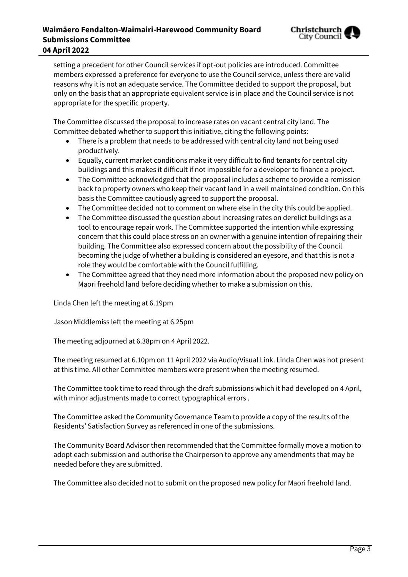### **Waimāero Fendalton-Waimairi-Harewood Community Board Submissions Committee 04 April 2022**



setting a precedent for other Council services if opt-out policies are introduced. Committee members expressed a preference for everyone to use the Council service, unless there are valid reasons why it is not an adequate service. The Committee decided to support the proposal, but only on the basis that an appropriate equivalent service is in place and the Council service is not appropriate for the specific property.

The Committee discussed the proposal to increase rates on vacant central city land. The Committee debated whether to support this initiative, citing the following points:

- There is a problem that needs to be addressed with central city land not being used productively.
- Equally, current market conditions make it very difficult to find tenants for central city buildings and this makes it difficult if not impossible for a developer to finance a project.
- The Committee acknowledged that the proposal includes a scheme to provide a remission back to property owners who keep their vacant land in a well maintained condition. On this basis the Committee cautiously agreed to support the proposal.
- The Committee decided not to comment on where else in the city this could be applied.
- The Committee discussed the question about increasing rates on derelict buildings as a tool to encourage repair work. The Committee supported the intention while expressing concern that this could place stress on an owner with a genuine intention of repairing their building. The Committee also expressed concern about the possibility of the Council becoming the judge of whether a building is considered an eyesore, and that this is not a role they would be comfortable with the Council fulfilling.
- The Committee agreed that they need more information about the proposed new policy on Maori freehold land before deciding whether to make a submission on this.

Linda Chen left the meeting at 6.19pm

Jason Middlemiss left the meeting at 6.25pm

The meeting adjourned at 6.38pm on 4 April 2022.

The meeting resumed at 6.10pm on 11 April 2022 via Audio/Visual Link. Linda Chen was not present at this time. All other Committee members were present when the meeting resumed.

The Committee took time to read through the draft submissions which it had developed on 4 April, with minor adjustments made to correct typographical errors .

The Committee asked the Community Governance Team to provide a copy of the results of the Residents' Satisfaction Survey as referenced in one of the submissions.

The Community Board Advisor then recommended that the Committee formally move a motion to adopt each submission and authorise the Chairperson to approve any amendments that may be needed before they are submitted.

The Committee also decided not to submit on the proposed new policy for Maori freehold land.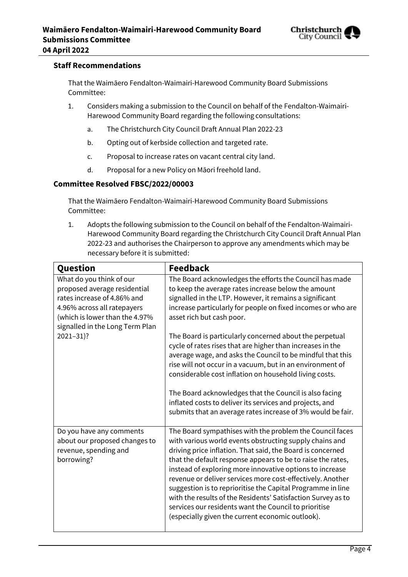

#### **Staff Recommendations**

That the Waimāero Fendalton-Waimairi-Harewood Community Board Submissions Committee:

- 1. Considers making a submission to the Council on behalf of the Fendalton-Waimairi-Harewood Community Board regarding the following consultations:
	- a. The Christchurch City Council Draft Annual Plan 2022-23
	- b. Opting out of kerbside collection and targeted rate.
	- c. Proposal to increase rates on vacant central city land.
	- d. Proposal for a new Policy on Māori freehold land.

#### **Committee Resolved FBSC/2022/00003**

That the Waimāero Fendalton-Waimairi-Harewood Community Board Submissions Committee:

1. Adopts the following submission to the Council on behalf of the Fendalton-Waimairi-Harewood Community Board regarding the Christchurch City Council Draft Annual Plan 2022-23 and authorises the Chairperson to approve any amendments which may be necessary before it is submitted:

| Question                                                                                                                                                                                                     | <b>Feedback</b>                                                                                                                                                                                                                                                                                                                                                                                                                                                                                                                                                                                                                                                                                                                                                           |
|--------------------------------------------------------------------------------------------------------------------------------------------------------------------------------------------------------------|---------------------------------------------------------------------------------------------------------------------------------------------------------------------------------------------------------------------------------------------------------------------------------------------------------------------------------------------------------------------------------------------------------------------------------------------------------------------------------------------------------------------------------------------------------------------------------------------------------------------------------------------------------------------------------------------------------------------------------------------------------------------------|
| What do you think of our<br>proposed average residential<br>rates increase of 4.86% and<br>4.96% across all ratepayers<br>(which is lower than the 4.97%<br>signalled in the Long Term Plan<br>$2021 - 31$ ? | The Board acknowledges the efforts the Council has made<br>to keep the average rates increase below the amount<br>signalled in the LTP. However, it remains a significant<br>increase particularly for people on fixed incomes or who are<br>asset rich but cash poor.<br>The Board is particularly concerned about the perpetual<br>cycle of rates rises that are higher than increases in the<br>average wage, and asks the Council to be mindful that this<br>rise will not occur in a vacuum, but in an environment of<br>considerable cost inflation on household living costs.<br>The Board acknowledges that the Council is also facing<br>inflated costs to deliver its services and projects, and<br>submits that an average rates increase of 3% would be fair. |
| Do you have any comments<br>about our proposed changes to<br>revenue, spending and<br>borrowing?                                                                                                             | The Board sympathises with the problem the Council faces<br>with various world events obstructing supply chains and<br>driving price inflation. That said, the Board is concerned<br>that the default response appears to be to raise the rates,<br>instead of exploring more innovative options to increase<br>revenue or deliver services more cost-effectively. Another<br>suggestion is to reprioritise the Capital Programme in line<br>with the results of the Residents' Satisfaction Survey as to<br>services our residents want the Council to prioritise<br>(especially given the current economic outlook).                                                                                                                                                    |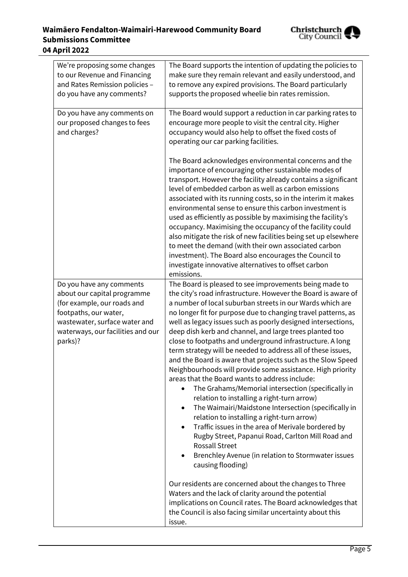# **Waimāero Fendalton-Waimairi-Harewood Community Board Submissions Committee 04 April 2022**



| We're proposing some changes<br>to our Revenue and Financing<br>and Rates Remission policies -<br>do you have any comments?                                                                      | The Board supports the intention of updating the policies to<br>make sure they remain relevant and easily understood, and<br>to remove any expired provisions. The Board particularly<br>supports the proposed wheelie bin rates remission.                                                                                                                                                                                                                                                                                                                                                                                                                                                                                                                                                                                                                                                                                                                                                                                                                                                                                        |
|--------------------------------------------------------------------------------------------------------------------------------------------------------------------------------------------------|------------------------------------------------------------------------------------------------------------------------------------------------------------------------------------------------------------------------------------------------------------------------------------------------------------------------------------------------------------------------------------------------------------------------------------------------------------------------------------------------------------------------------------------------------------------------------------------------------------------------------------------------------------------------------------------------------------------------------------------------------------------------------------------------------------------------------------------------------------------------------------------------------------------------------------------------------------------------------------------------------------------------------------------------------------------------------------------------------------------------------------|
| Do you have any comments on<br>our proposed changes to fees<br>and charges?                                                                                                                      | The Board would support a reduction in car parking rates to<br>encourage more people to visit the central city. Higher<br>occupancy would also help to offset the fixed costs of<br>operating our car parking facilities.                                                                                                                                                                                                                                                                                                                                                                                                                                                                                                                                                                                                                                                                                                                                                                                                                                                                                                          |
|                                                                                                                                                                                                  | The Board acknowledges environmental concerns and the<br>importance of encouraging other sustainable modes of<br>transport. However the facility already contains a significant<br>level of embedded carbon as well as carbon emissions<br>associated with its running costs, so in the interim it makes<br>environmental sense to ensure this carbon investment is<br>used as efficiently as possible by maximising the facility's<br>occupancy. Maximising the occupancy of the facility could<br>also mitigate the risk of new facilities being set up elsewhere<br>to meet the demand (with their own associated carbon<br>investment). The Board also encourages the Council to<br>investigate innovative alternatives to offset carbon<br>emissions.                                                                                                                                                                                                                                                                                                                                                                         |
| Do you have any comments<br>about our capital programme<br>(for example, our roads and<br>footpaths, our water,<br>wastewater, surface water and<br>waterways, our facilities and our<br>parks)? | The Board is pleased to see improvements being made to<br>the city's road infrastructure. However the Board is aware of<br>a number of local suburban streets in our Wards which are<br>no longer fit for purpose due to changing travel patterns, as<br>well as legacy issues such as poorly designed intersections,<br>deep dish kerb and channel, and large trees planted too<br>close to footpaths and underground infrastructure. A long<br>term strategy will be needed to address all of these issues,<br>and the Board is aware that projects such as the Slow Speed<br>Neighbourhoods will provide some assistance. High priority<br>areas that the Board wants to address include:<br>The Grahams/Memorial intersection (specifically in<br>relation to installing a right-turn arrow)<br>The Waimairi/Maidstone Intersection (specifically in<br>relation to installing a right-turn arrow)<br>Traffic issues in the area of Merivale bordered by<br>$\bullet$<br>Rugby Street, Papanui Road, Carlton Mill Road and<br><b>Rossall Street</b><br>Brenchley Avenue (in relation to Stormwater issues<br>causing flooding) |
|                                                                                                                                                                                                  | Our residents are concerned about the changes to Three<br>Waters and the lack of clarity around the potential<br>implications on Council rates. The Board acknowledges that<br>the Council is also facing similar uncertainty about this<br>issue.                                                                                                                                                                                                                                                                                                                                                                                                                                                                                                                                                                                                                                                                                                                                                                                                                                                                                 |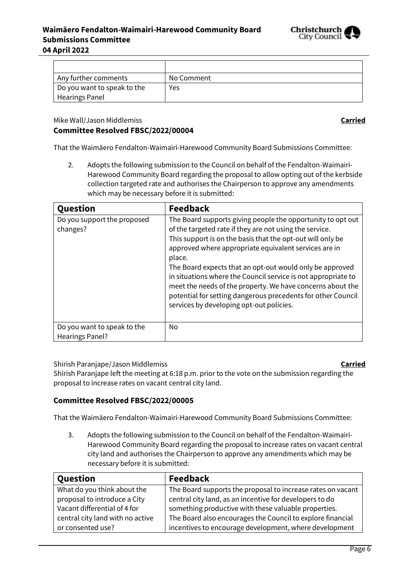

| Any further comments        | No Comment |
|-----------------------------|------------|
| Do you want to speak to the | Yes        |
| <b>Hearings Panel</b>       |            |

Mike Wall/Jason Middlemiss **Carried**

# **Committee Resolved FBSC/2022/00004**

That the Waimāero Fendalton-Waimairi-Harewood Community Board Submissions Committee:

2. Adopts the following submission to the Council on behalf of the Fendalton-Waimairi-Harewood Community Board regarding the proposal to allow opting out of the kerbside collection targeted rate and authorises the Chairperson to approve any amendments which may be necessary before it is submitted:

| Question                                              | <b>Feedback</b>                                                                                                                                                                                                                                                                                                                                                                                                                                                                                                                                                |
|-------------------------------------------------------|----------------------------------------------------------------------------------------------------------------------------------------------------------------------------------------------------------------------------------------------------------------------------------------------------------------------------------------------------------------------------------------------------------------------------------------------------------------------------------------------------------------------------------------------------------------|
| Do you support the proposed<br>changes?               | The Board supports giving people the opportunity to opt out<br>of the targeted rate if they are not using the service.<br>This support is on the basis that the opt-out will only be<br>approved where appropriate equivalent services are in<br>place.<br>The Board expects that an opt-out would only be approved<br>in situations where the Council service is not appropriate to<br>meet the needs of the property. We have concerns about the<br>potential for setting dangerous precedents for other Council<br>services by developing opt-out policies. |
| Do you want to speak to the<br><b>Hearings Panel?</b> | No                                                                                                                                                                                                                                                                                                                                                                                                                                                                                                                                                             |

Shirish Paranjape/Jason Middlemiss **Carried**

Shirish Paranjape left the meeting at 6:18 p.m. prior to the vote on the submission regarding the proposal to increase rates on vacant central city land.

### **Committee Resolved FBSC/2022/00005**

That the Waimāero Fendalton-Waimairi-Harewood Community Board Submissions Committee:

3. Adopts the following submission to the Council on behalf of the Fendalton-Waimairi-Harewood Community Board regarding the proposal to increase rates on vacant central city land and authorises the Chairperson to approve any amendments which may be necessary before it is submitted:

| Question                         | <b>Feedback</b>                                             |
|----------------------------------|-------------------------------------------------------------|
| What do you think about the      | The Board supports the proposal to increase rates on vacant |
| proposal to introduce a City     | central city land, as an incentive for developers to do     |
| Vacant differential of 4 for     | something productive with these valuable properties.        |
| central city land with no active | The Board also encourages the Council to explore financial  |
| or consented use?                | incentives to encourage development, where development      |